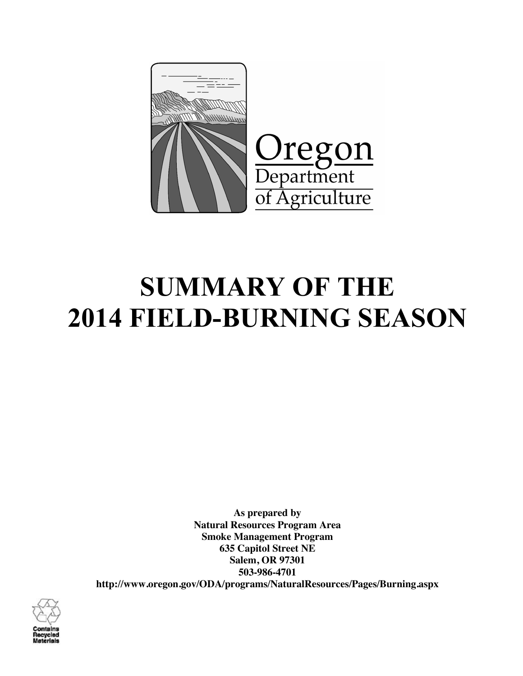

# **SUMMARY OF THE 2014 FIELD-BURNING SEASON**

**As prepared by Natural Resources Program Area Smoke Management Program 635 Capitol Street NE Salem, OR 97301 503-986-4701 http://www.oregon.gov/ODA/programs/NaturalResources/Pages/Burning.aspx**

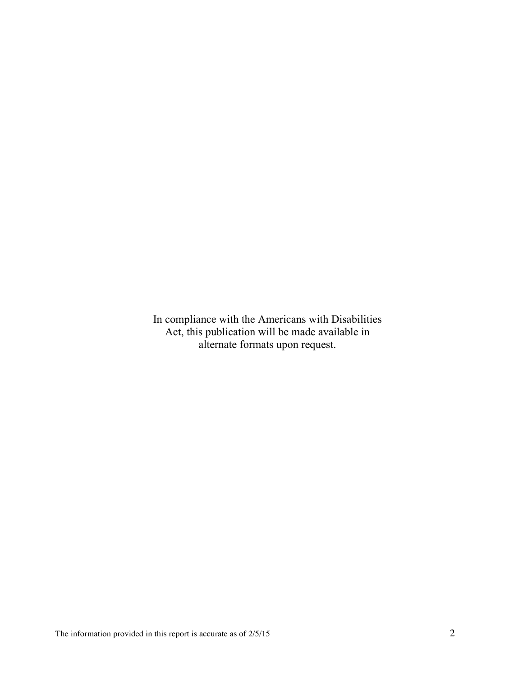In compliance with the Americans with Disabilities Act, this publication will be made available in alternate formats upon request.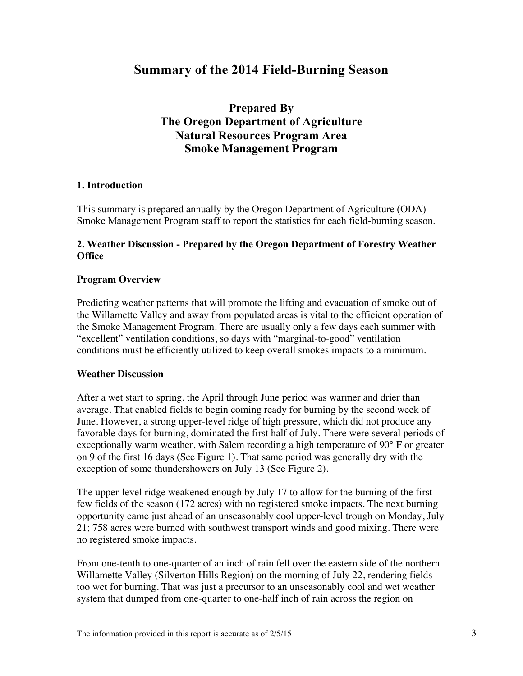# **Summary of the 2014 Field-Burning Season**

# **Prepared By The Oregon Department of Agriculture Natural Resources Program Area Smoke Management Program**

# **1. Introduction**

This summary is prepared annually by the Oregon Department of Agriculture (ODA) Smoke Management Program staff to report the statistics for each field-burning season.

#### **2. Weather Discussion - Prepared by the Oregon Department of Forestry Weather Office**

#### **Program Overview**

Predicting weather patterns that will promote the lifting and evacuation of smoke out of the Willamette Valley and away from populated areas is vital to the efficient operation of the Smoke Management Program. There are usually only a few days each summer with "excellent" ventilation conditions, so days with "marginal-to-good" ventilation conditions must be efficiently utilized to keep overall smokes impacts to a minimum.

#### **Weather Discussion**

After a wet start to spring, the April through June period was warmer and drier than average. That enabled fields to begin coming ready for burning by the second week of June. However, a strong upper-level ridge of high pressure, which did not produce any favorable days for burning, dominated the first half of July. There were several periods of exceptionally warm weather, with Salem recording a high temperature of 90° F or greater on 9 of the first 16 days (See Figure 1). That same period was generally dry with the exception of some thundershowers on July 13 (See Figure 2).

The upper-level ridge weakened enough by July 17 to allow for the burning of the first few fields of the season (172 acres) with no registered smoke impacts. The next burning opportunity came just ahead of an unseasonably cool upper-level trough on Monday, July 21; 758 acres were burned with southwest transport winds and good mixing. There were no registered smoke impacts.

From one-tenth to one-quarter of an inch of rain fell over the eastern side of the northern Willamette Valley (Silverton Hills Region) on the morning of July 22, rendering fields too wet for burning. That was just a precursor to an unseasonably cool and wet weather system that dumped from one-quarter to one-half inch of rain across the region on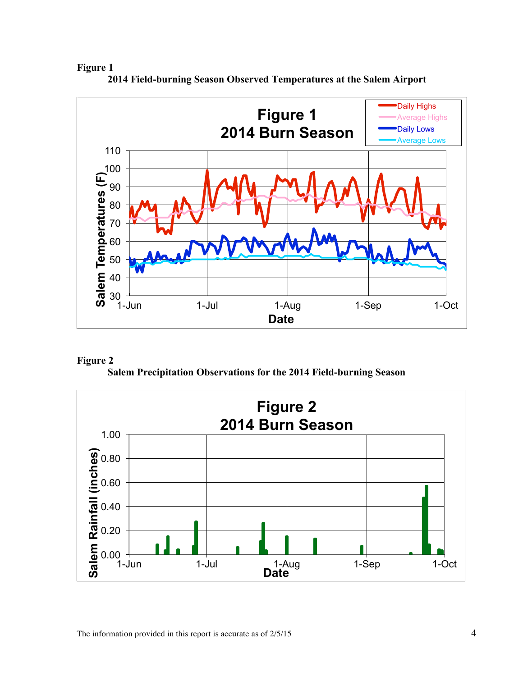**Figure 1**



**2014 Field-burning Season Observed Temperatures at the Salem Airport**



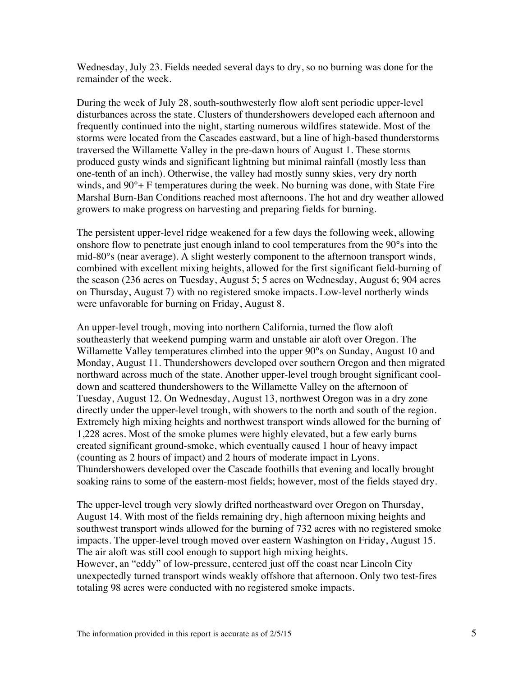Wednesday, July 23. Fields needed several days to dry, so no burning was done for the remainder of the week.

During the week of July 28, south-southwesterly flow aloft sent periodic upper-level disturbances across the state. Clusters of thundershowers developed each afternoon and frequently continued into the night, starting numerous wildfires statewide. Most of the storms were located from the Cascades eastward, but a line of high-based thunderstorms traversed the Willamette Valley in the pre-dawn hours of August 1. These storms produced gusty winds and significant lightning but minimal rainfall (mostly less than one-tenth of an inch). Otherwise, the valley had mostly sunny skies, very dry north winds, and  $90^\circ$ + F temperatures during the week. No burning was done, with State Fire Marshal Burn-Ban Conditions reached most afternoons. The hot and dry weather allowed growers to make progress on harvesting and preparing fields for burning.

The persistent upper-level ridge weakened for a few days the following week, allowing onshore flow to penetrate just enough inland to cool temperatures from the 90°s into the mid-80°s (near average). A slight westerly component to the afternoon transport winds, combined with excellent mixing heights, allowed for the first significant field-burning of the season (236 acres on Tuesday, August 5; 5 acres on Wednesday, August 6; 904 acres on Thursday, August 7) with no registered smoke impacts. Low-level northerly winds were unfavorable for burning on Friday, August 8.

An upper-level trough, moving into northern California, turned the flow aloft southeasterly that weekend pumping warm and unstable air aloft over Oregon. The Willamette Valley temperatures climbed into the upper 90°s on Sunday, August 10 and Monday, August 11. Thundershowers developed over southern Oregon and then migrated northward across much of the state. Another upper-level trough brought significant cooldown and scattered thundershowers to the Willamette Valley on the afternoon of Tuesday, August 12. On Wednesday, August 13, northwest Oregon was in a dry zone directly under the upper-level trough, with showers to the north and south of the region. Extremely high mixing heights and northwest transport winds allowed for the burning of 1,228 acres. Most of the smoke plumes were highly elevated, but a few early burns created significant ground-smoke, which eventually caused 1 hour of heavy impact (counting as 2 hours of impact) and 2 hours of moderate impact in Lyons. Thundershowers developed over the Cascade foothills that evening and locally brought soaking rains to some of the eastern-most fields; however, most of the fields stayed dry.

The upper-level trough very slowly drifted northeastward over Oregon on Thursday, August 14. With most of the fields remaining dry, high afternoon mixing heights and southwest transport winds allowed for the burning of 732 acres with no registered smoke impacts. The upper-level trough moved over eastern Washington on Friday, August 15. The air aloft was still cool enough to support high mixing heights. However, an "eddy" of low-pressure, centered just off the coast near Lincoln City unexpectedly turned transport winds weakly offshore that afternoon. Only two test-fires totaling 98 acres were conducted with no registered smoke impacts.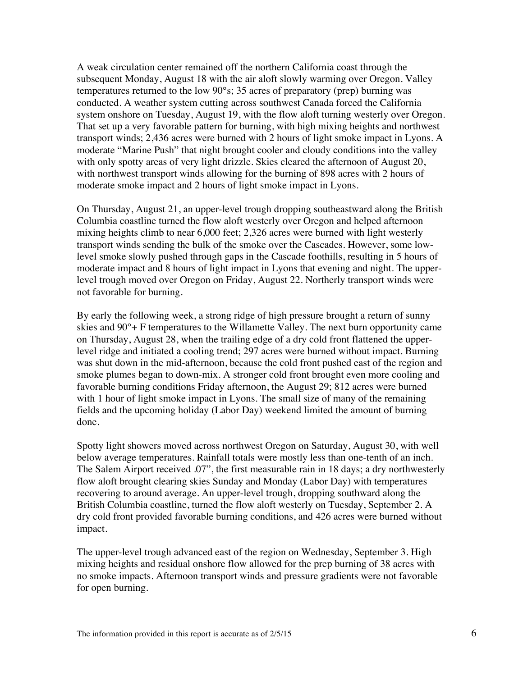A weak circulation center remained off the northern California coast through the subsequent Monday, August 18 with the air aloft slowly warming over Oregon. Valley temperatures returned to the low 90°s; 35 acres of preparatory (prep) burning was conducted. A weather system cutting across southwest Canada forced the California system onshore on Tuesday, August 19, with the flow aloft turning westerly over Oregon. That set up a very favorable pattern for burning, with high mixing heights and northwest transport winds; 2,436 acres were burned with 2 hours of light smoke impact in Lyons. A moderate "Marine Push" that night brought cooler and cloudy conditions into the valley with only spotty areas of very light drizzle. Skies cleared the afternoon of August 20, with northwest transport winds allowing for the burning of 898 acres with 2 hours of moderate smoke impact and 2 hours of light smoke impact in Lyons.

On Thursday, August 21, an upper-level trough dropping southeastward along the British Columbia coastline turned the flow aloft westerly over Oregon and helped afternoon mixing heights climb to near 6,000 feet; 2,326 acres were burned with light westerly transport winds sending the bulk of the smoke over the Cascades. However, some lowlevel smoke slowly pushed through gaps in the Cascade foothills, resulting in 5 hours of moderate impact and 8 hours of light impact in Lyons that evening and night. The upperlevel trough moved over Oregon on Friday, August 22. Northerly transport winds were not favorable for burning.

By early the following week, a strong ridge of high pressure brought a return of sunny skies and 90°+ F temperatures to the Willamette Valley. The next burn opportunity came on Thursday, August 28, when the trailing edge of a dry cold front flattened the upperlevel ridge and initiated a cooling trend; 297 acres were burned without impact. Burning was shut down in the mid-afternoon, because the cold front pushed east of the region and smoke plumes began to down-mix. A stronger cold front brought even more cooling and favorable burning conditions Friday afternoon, the August 29; 812 acres were burned with 1 hour of light smoke impact in Lyons. The small size of many of the remaining fields and the upcoming holiday (Labor Day) weekend limited the amount of burning done.

Spotty light showers moved across northwest Oregon on Saturday, August 30, with well below average temperatures. Rainfall totals were mostly less than one-tenth of an inch. The Salem Airport received .07", the first measurable rain in 18 days; a dry northwesterly flow aloft brought clearing skies Sunday and Monday (Labor Day) with temperatures recovering to around average. An upper-level trough, dropping southward along the British Columbia coastline, turned the flow aloft westerly on Tuesday, September 2. A dry cold front provided favorable burning conditions, and 426 acres were burned without impact.

The upper-level trough advanced east of the region on Wednesday, September 3. High mixing heights and residual onshore flow allowed for the prep burning of 38 acres with no smoke impacts. Afternoon transport winds and pressure gradients were not favorable for open burning.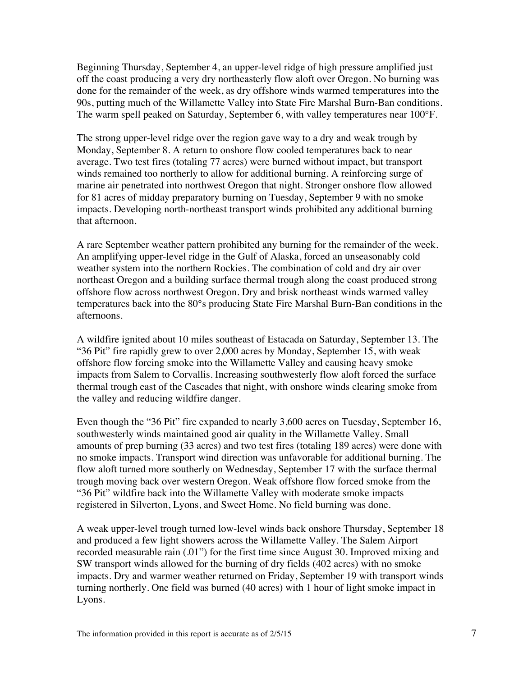Beginning Thursday, September 4, an upper-level ridge of high pressure amplified just off the coast producing a very dry northeasterly flow aloft over Oregon. No burning was done for the remainder of the week, as dry offshore winds warmed temperatures into the 90s, putting much of the Willamette Valley into State Fire Marshal Burn-Ban conditions. The warm spell peaked on Saturday, September 6, with valley temperatures near 100°F.

The strong upper-level ridge over the region gave way to a dry and weak trough by Monday, September 8. A return to onshore flow cooled temperatures back to near average. Two test fires (totaling 77 acres) were burned without impact, but transport winds remained too northerly to allow for additional burning. A reinforcing surge of marine air penetrated into northwest Oregon that night. Stronger onshore flow allowed for 81 acres of midday preparatory burning on Tuesday, September 9 with no smoke impacts. Developing north-northeast transport winds prohibited any additional burning that afternoon.

A rare September weather pattern prohibited any burning for the remainder of the week. An amplifying upper-level ridge in the Gulf of Alaska, forced an unseasonably cold weather system into the northern Rockies. The combination of cold and dry air over northeast Oregon and a building surface thermal trough along the coast produced strong offshore flow across northwest Oregon. Dry and brisk northeast winds warmed valley temperatures back into the 80°s producing State Fire Marshal Burn-Ban conditions in the afternoons.

A wildfire ignited about 10 miles southeast of Estacada on Saturday, September 13. The "36 Pit" fire rapidly grew to over 2,000 acres by Monday, September 15, with weak offshore flow forcing smoke into the Willamette Valley and causing heavy smoke impacts from Salem to Corvallis. Increasing southwesterly flow aloft forced the surface thermal trough east of the Cascades that night, with onshore winds clearing smoke from the valley and reducing wildfire danger.

Even though the "36 Pit" fire expanded to nearly 3,600 acres on Tuesday, September 16, southwesterly winds maintained good air quality in the Willamette Valley. Small amounts of prep burning (33 acres) and two test fires (totaling 189 acres) were done with no smoke impacts. Transport wind direction was unfavorable for additional burning. The flow aloft turned more southerly on Wednesday, September 17 with the surface thermal trough moving back over western Oregon. Weak offshore flow forced smoke from the "36 Pit" wildfire back into the Willamette Valley with moderate smoke impacts registered in Silverton, Lyons, and Sweet Home. No field burning was done.

A weak upper-level trough turned low-level winds back onshore Thursday, September 18 and produced a few light showers across the Willamette Valley. The Salem Airport recorded measurable rain (.01") for the first time since August 30. Improved mixing and SW transport winds allowed for the burning of dry fields (402 acres) with no smoke impacts. Dry and warmer weather returned on Friday, September 19 with transport winds turning northerly. One field was burned (40 acres) with 1 hour of light smoke impact in Lyons.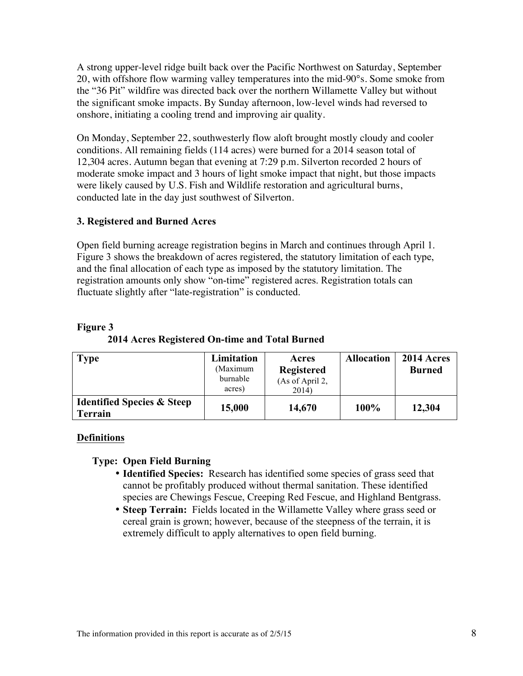A strong upper-level ridge built back over the Pacific Northwest on Saturday, September 20, with offshore flow warming valley temperatures into the mid-90°s. Some smoke from the "36 Pit" wildfire was directed back over the northern Willamette Valley but without the significant smoke impacts. By Sunday afternoon, low-level winds had reversed to onshore, initiating a cooling trend and improving air quality.

On Monday, September 22, southwesterly flow aloft brought mostly cloudy and cooler conditions. All remaining fields (114 acres) were burned for a 2014 season total of 12,304 acres. Autumn began that evening at 7:29 p.m. Silverton recorded 2 hours of moderate smoke impact and 3 hours of light smoke impact that night, but those impacts were likely caused by U.S. Fish and Wildlife restoration and agricultural burns, conducted late in the day just southwest of Silverton.

# **3. Registered and Burned Acres**

Open field burning acreage registration begins in March and continues through April 1. Figure 3 shows the breakdown of acres registered, the statutory limitation of each type, and the final allocation of each type as imposed by the statutory limitation. The registration amounts only show "on-time" registered acres. Registration totals can fluctuate slightly after "late-registration" is conducted.

| <b>Type</b>                                             | Limitation<br>(Maximum<br>burnable<br>acres) | Acres<br><b>Registered</b><br>(As of April 2,<br>2014) | <b>Allocation</b> | 2014 Acres<br><b>Burned</b> |
|---------------------------------------------------------|----------------------------------------------|--------------------------------------------------------|-------------------|-----------------------------|
| <b>Identified Species &amp; Steep</b><br><b>Terrain</b> | 15,000                                       | 14,670                                                 | 100%              | 12,304                      |

#### **Figure 3 2014 Acres Registered On-time and Total Burned**

# **Definitions**

# **Type: Open Field Burning**

- **Identified Species:** Research has identified some species of grass seed that cannot be profitably produced without thermal sanitation. These identified species are Chewings Fescue, Creeping Red Fescue, and Highland Bentgrass.
- **Steep Terrain:** Fields located in the Willamette Valley where grass seed or cereal grain is grown; however, because of the steepness of the terrain, it is extremely difficult to apply alternatives to open field burning.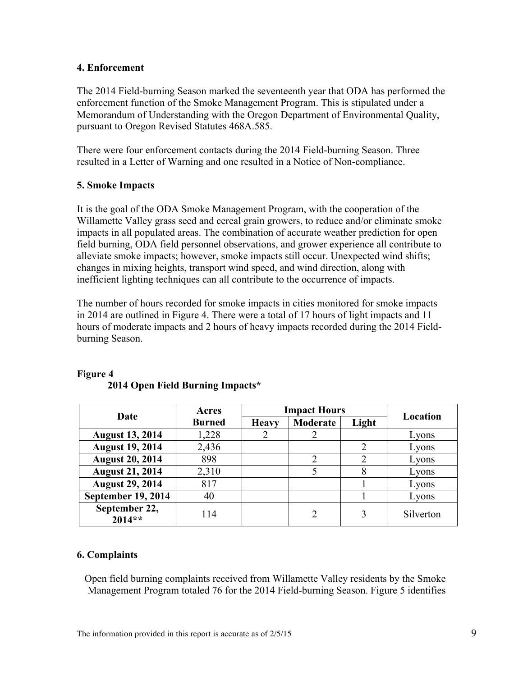#### **4. Enforcement**

The 2014 Field-burning Season marked the seventeenth year that ODA has performed the enforcement function of the Smoke Management Program. This is stipulated under a Memorandum of Understanding with the Oregon Department of Environmental Quality, pursuant to Oregon Revised Statutes 468A.585.

There were four enforcement contacts during the 2014 Field-burning Season. Three resulted in a Letter of Warning and one resulted in a Notice of Non-compliance.

# **5. Smoke Impacts**

It is the goal of the ODA Smoke Management Program, with the cooperation of the Willamette Valley grass seed and cereal grain growers, to reduce and/or eliminate smoke impacts in all populated areas. The combination of accurate weather prediction for open field burning, ODA field personnel observations, and grower experience all contribute to alleviate smoke impacts; however, smoke impacts still occur. Unexpected wind shifts; changes in mixing heights, transport wind speed, and wind direction, along with inefficient lighting techniques can all contribute to the occurrence of impacts.

The number of hours recorded for smoke impacts in cities monitored for smoke impacts in 2014 are outlined in Figure 4. There were a total of 17 hours of light impacts and 11 hours of moderate impacts and 2 hours of heavy impacts recorded during the 2014 Fieldburning Season.

| Date                      | Acres         | <b>Impact Hours</b> |               |                             |           |  |
|---------------------------|---------------|---------------------|---------------|-----------------------------|-----------|--|
|                           | <b>Burned</b> | <b>Heavy</b>        | Moderate      | Light                       | Location  |  |
| <b>August 13, 2014</b>    | 1,228         |                     | 2             |                             | Lyons     |  |
| <b>August 19, 2014</b>    | 2,436         |                     |               | $\mathcal{D}_{\mathcal{A}}$ | Lyons     |  |
| <b>August 20, 2014</b>    | 898           |                     | $\mathcal{D}$ | 2                           | Lyons     |  |
| <b>August 21, 2014</b>    | 2,310         |                     |               | 8                           | Lyons     |  |
| <b>August 29, 2014</b>    | 817           |                     |               |                             | Lyons     |  |
| <b>September 19, 2014</b> | 40            |                     |               |                             | Lyons     |  |
| September 22,<br>$2014**$ | 114           |                     |               |                             | Silverton |  |

#### **Figure 4 2014 Open Field Burning Impacts\***

#### **6. Complaints**

Open field burning complaints received from Willamette Valley residents by the Smoke Management Program totaled 76 for the 2014 Field-burning Season. Figure 5 identifies